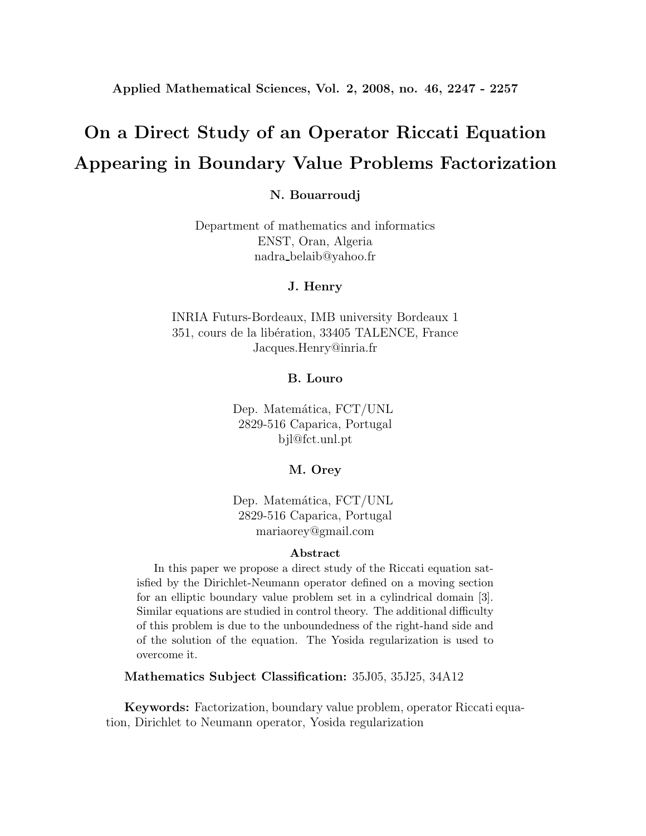**Applied Mathematical Sciences, Vol. 2, 2008, no. 46, 2247 - 2257**

# **On a Direct Study of an Operator Riccati Equation Appearing in Boundary Value Problems Factorization**

#### **N. Bouarroudj**

Department of mathematics and informatics ENST, Oran, Algeria nadra belaib@yahoo.fr

#### **J. Henry**

INRIA Futurs-Bordeaux, IMB university Bordeaux 1 351, cours de la libération, 33405 TALENCE, France Jacques.Henry@inria.fr

#### **B. Louro**

Dep. Matemática, FCT/UNL 2829-516 Caparica, Portugal bjl@fct.unl.pt

#### **M. Orey**

Dep. Matemática, FCT/UNL 2829-516 Caparica, Portugal mariaorey@gmail.com

#### **Abstract**

In this paper we propose a direct study of the Riccati equation satisfied by the Dirichlet-Neumann operator defined on a moving section for an elliptic boundary value problem set in a cylindrical domain [3]. Similar equations are studied in control theory. The additional difficulty of this problem is due to the unboundedness of the right-hand side and of the solution of the equation. The Yosida regularization is used to overcome it.

**Mathematics Subject Classification:** 35J05, 35J25, 34A12

**Keywords:** Factorization, boundary value problem, operator Riccati equation, Dirichlet to Neumann operator, Yosida regularization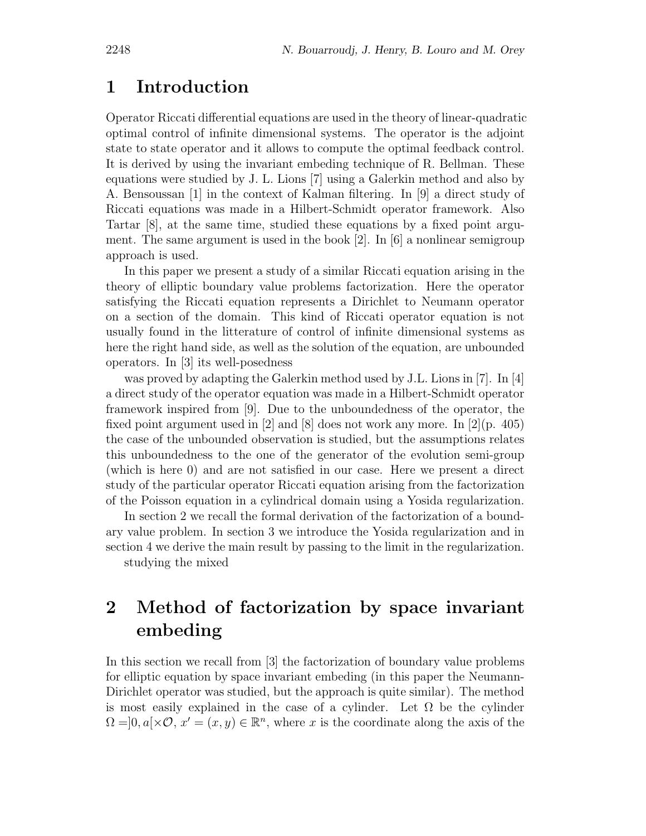### **1 Introduction**

Operator Riccati differential equations are used in the theory of linear-quadratic optimal control of infinite dimensional systems. The operator is the adjoint state to state operator and it allows to compute the optimal feedback control. It is derived by using the invariant embeding technique of R. Bellman. These equations were studied by J. L. Lions [7] using a Galerkin method and also by A. Bensoussan [1] in the context of Kalman filtering. In [9] a direct study of Riccati equations was made in a Hilbert-Schmidt operator framework. Also Tartar [8], at the same time, studied these equations by a fixed point argument. The same argument is used in the book  $[2]$ . In  $[6]$  a nonlinear semigroup approach is used.

In this paper we present a study of a similar Riccati equation arising in the theory of elliptic boundary value problems factorization. Here the operator satisfying the Riccati equation represents a Dirichlet to Neumann operator on a section of the domain. This kind of Riccati operator equation is not usually found in the litterature of control of infinite dimensional systems as here the right hand side, as well as the solution of the equation, are unbounded operators. In [3] its well-posedness

was proved by adapting the Galerkin method used by J.L. Lions in [7]. In [4] a direct study of the operator equation was made in a Hilbert-Schmidt operator framework inspired from [9]. Due to the unboundedness of the operator, the fixed point argument used in [2] and [8] does not work any more. In  $[2](p. 405)$ the case of the unbounded observation is studied, but the assumptions relates this unboundedness to the one of the generator of the evolution semi-group (which is here 0) and are not satisfied in our case. Here we present a direct study of the particular operator Riccati equation arising from the factorization of the Poisson equation in a cylindrical domain using a Yosida regularization.

In section 2 we recall the formal derivation of the factorization of a boundary value problem. In section 3 we introduce the Yosida regularization and in section 4 we derive the main result by passing to the limit in the regularization. studying the mixed

## **2 Method of factorization by space invariant embeding**

In this section we recall from [3] the factorization of boundary value problems for elliptic equation by space invariant embeding (in this paper the Neumann-Dirichlet operator was studied, but the approach is quite similar). The method is most easily explained in the case of a cylinder. Let  $\Omega$  be the cylinder  $\Omega =]0, a[\times \mathcal{O}, x] = (x, y) \in \mathbb{R}^n$ , where x is the coordinate along the axis of the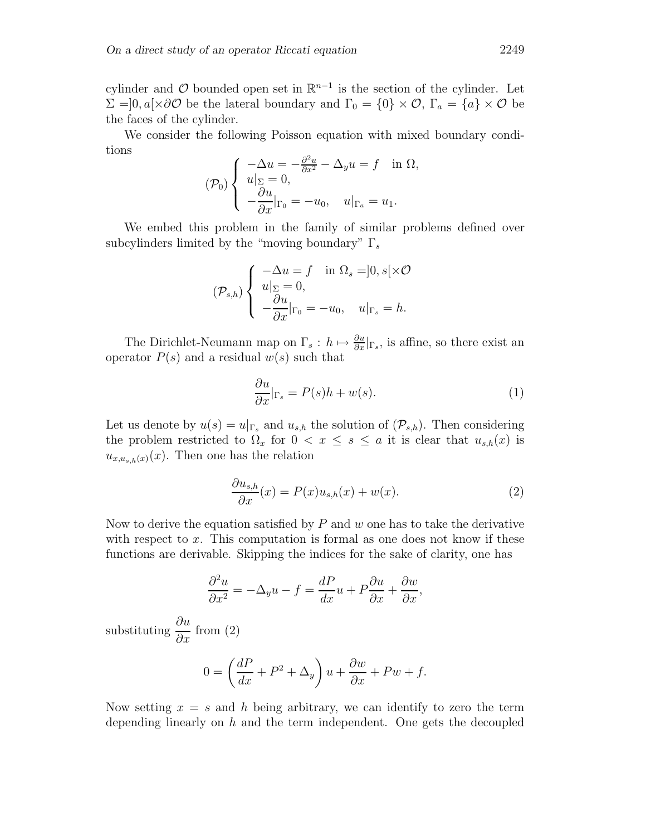cylinder and  $\mathcal O$  bounded open set in  $\mathbb R^{n-1}$  is the section of the cylinder. Let  $\Sigma = ]0, a] \times \partial \mathcal{O}$  be the lateral boundary and  $\Gamma_0 = \{0\} \times \mathcal{O}$ ,  $\Gamma_a = \{a\} \times \mathcal{O}$  be the faces of the cylinder.

We consider the following Poisson equation with mixed boundary conditions

$$
(\mathcal{P}_0) \begin{cases} -\Delta u = -\frac{\partial^2 u}{\partial x^2} - \Delta_y u = f & \text{in } \Omega, \\ u|_{\Sigma} = 0, \\ -\frac{\partial u}{\partial x}|_{\Gamma_0} = -u_0, \quad u|_{\Gamma_a} = u_1. \end{cases}
$$

We embed this problem in the family of similar problems defined over subcylinders limited by the "moving boundary"  $\Gamma_s$ 

$$
(\mathcal{P}_{s,h})\left\{\begin{array}{ll}\displaystyle -\Delta u=f & \text{in }\Omega_s=]0,s[\times \mathcal{O} \\ u|_{\Sigma}=0, & \\ \displaystyle -\frac{\partial u}{\partial x}|_{\Gamma_0}=-u_0, & u|_{\Gamma_s}=h.\end{array}\right.
$$

The Dirichlet-Neumann map on  $\Gamma_s: h \mapsto \frac{\partial u}{\partial x}|_{\Gamma_s}$ , is affine, so there exist an operator  $P(s)$  and a residual  $w(s)$  such that

$$
\frac{\partial u}{\partial x}|_{\Gamma_s} = P(s)h + w(s). \tag{1}
$$

Let us denote by  $u(s) = u|_{\Gamma_s}$  and  $u_{s,h}$  the solution of  $(\mathcal{P}_{s,h})$ . Then considering the problem restricted to  $\Omega_x$  for  $0 < x \leq s \leq a$  it is clear that  $u_{s,h}(x)$  is  $u_{x,u_{s,h}(x)}(x)$ . Then one has the relation

$$
\frac{\partial u_{s,h}}{\partial x}(x) = P(x)u_{s,h}(x) + w(x).
$$
 (2)

Now to derive the equation satisfied by  $P$  and  $w$  one has to take the derivative with respect to  $x$ . This computation is formal as one does not know if these functions are derivable. Skipping the indices for the sake of clarity, one has

$$
\frac{\partial^2 u}{\partial x^2} = -\Delta_y u - f = \frac{dP}{dx}u + P\frac{\partial u}{\partial x} + \frac{\partial w}{\partial x},
$$

substituting  $\frac{\partial u}{\partial x}$  from (2)

$$
0 = \left(\frac{dP}{dx} + P^2 + \Delta_y\right)u + \frac{\partial w}{\partial x} + Pw + f.
$$

Now setting  $x = s$  and h being arbitrary, we can identify to zero the term depending linearly on  $h$  and the term independent. One gets the decoupled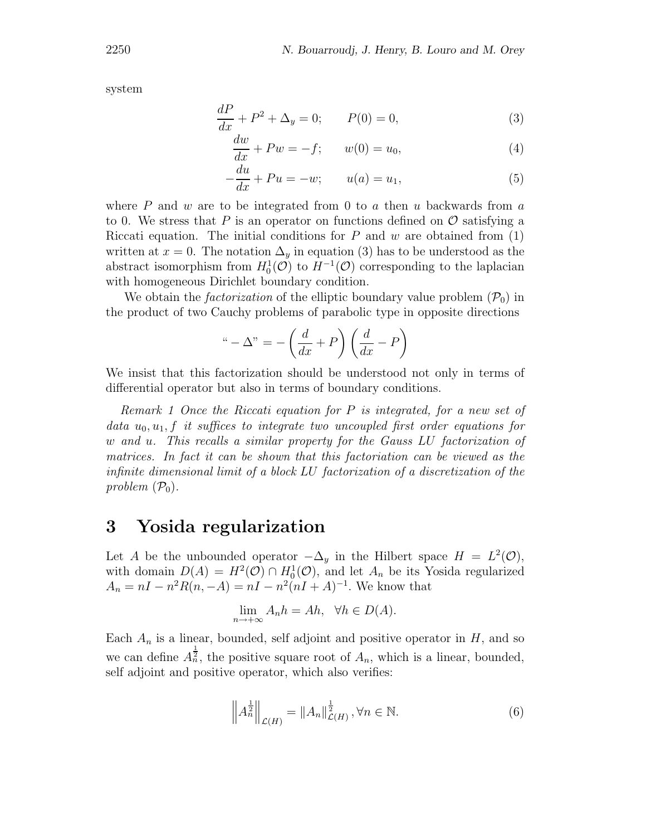system

$$
\frac{dP}{dx} + P^2 + \Delta_y = 0; \qquad P(0) = 0,\tag{3}
$$

$$
\frac{dw}{dx} + Pw = -f; \qquad w(0) = u_0,\tag{4}
$$

$$
-\frac{du}{dx} + Pu = -w; \qquad u(a) = u_1,\tag{5}
$$

where P and w are to be integrated from 0 to a then u backwards from a to 0. We stress that P is an operator on functions defined on  $\mathcal O$  satisfying a Riccati equation. The initial conditions for P and w are obtained from  $(1)$ written at  $x = 0$ . The notation  $\Delta_y$  in equation (3) has to be understood as the abstract isomorphism from  $H_0^1(\mathcal{O})$  to  $H^{-1}(\mathcal{O})$  corresponding to the laplacian with homogeneous Dirichlet boundary condition.

We obtain the *factorization* of the elliptic boundary value problem  $(\mathcal{P}_0)$  in the product of two Cauchy problems of parabolic type in opposite directions

$$
``-\Delta" = -\left(\frac{d}{dx} + P\right)\left(\frac{d}{dx} - P\right)
$$

We insist that this factorization should be understood not only in terms of differential operator but also in terms of boundary conditions.

Remark 1 Once the Riccati equation for P is integrated, for a new set of data  $u_0, u_1, f$  it suffices to integrate two uncoupled first order equations for w and u. This recalls a similar property for the Gauss LU factorization of matrices. In fact it can be shown that this factoriation can be viewed as the infinite dimensional limit of a block LU factorization of a discretization of the problem  $(\mathcal{P}_0)$ .

### **3 Yosida regularization**

Let A be the unbounded operator  $-\Delta_y$  in the Hilbert space  $H = L^2(\mathcal{O}),$ with domain  $D(A) = H^2(\mathcal{O}) \cap H_0^1(\mathcal{O})$ , and let  $A_n$  be its Yosida regularized  $A_n = nI - n^2R(n, -A) = nI - n^2(nI + A)^{-1}$ . We know that

$$
\lim_{n \to +\infty} A_n h = Ah, \quad \forall h \in D(A).
$$

Each  $A_n$  is a linear, bounded, self adjoint and positive operator in H, and so we can define  $A_n^{\frac{1}{2}}$ , the positive square root of  $A_n$ , which is a linear, bounded, self adjoint and positive operator, which also verifies:

$$
\left\| A_n^{\frac{1}{2}} \right\|_{\mathcal{L}(H)} = \| A_n \|_{\mathcal{L}(H)}^{\frac{1}{2}}, \forall n \in \mathbb{N}.
$$
 (6)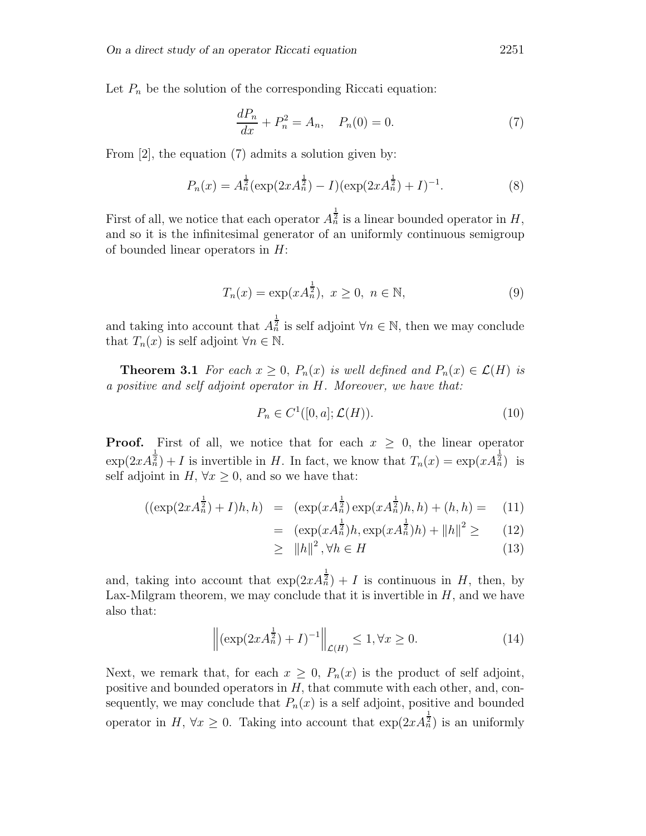Let  $P_n$  be the solution of the corresponding Riccati equation:

$$
\frac{dP_n}{dx} + P_n^2 = A_n, \quad P_n(0) = 0.
$$
 (7)

From [2], the equation (7) admits a solution given by:

$$
P_n(x) = A_n^{\frac{1}{2}} (\exp(2xA_n^{\frac{1}{2}}) - I)(\exp(2xA_n^{\frac{1}{2}}) + I)^{-1}.
$$
 (8)

First of all, we notice that each operator  $A_n^{\frac{1}{2}}$  is a linear bounded operator in H, and so it is the infinitesimal generator of an uniformly continuous semigroup of bounded linear operators in  $H$ :

$$
T_n(x) = \exp(xA_n^{\frac{1}{2}}), \ x \ge 0, \ n \in \mathbb{N},
$$
 (9)

and taking into account that  $A_n^{\frac{1}{2}}$  is self adjoint  $\forall n \in \mathbb{N}$ , then we may conclude that  $T_n(x)$  is self adjoint  $\forall n \in \mathbb{N}$ .

**Theorem 3.1** For each  $x \geq 0$ ,  $P_n(x)$  is well defined and  $P_n(x) \in \mathcal{L}(H)$  is a positive and self adjoint operator in H. Moreover, we have that:

$$
P_n \in C^1([0, a]; \mathcal{L}(H)).
$$
\n<sup>(10)</sup>

**Proof.** First of all, we notice that for each  $x \geq 0$ , the linear operator  $\exp(2xA_n^{\frac{1}{2}}) + I$  is invertible in H. In fact, we know that  $T_n(x) = \exp(xA_n^{\frac{1}{2}})$  is self adjoint in  $H$ ,  $\forall x \geq 0$ , and so we have that:

$$
((\exp(2xA_n^{\frac{1}{2}}) + I)h, h) = (\exp(xA_n^{\frac{1}{2}})\exp(xA_n^{\frac{1}{2}})h, h) + (h, h) = (11)
$$

$$
= (\exp(xA_n^{\frac{1}{2}})h, \exp(xA_n^{\frac{1}{2}})h) + ||h||^2 \ge (12)
$$

$$
\geq \|h\|^2, \forall h \in H \tag{13}
$$

and, taking into account that  $\exp(2xA_n^{\frac{1}{2}}) + I$  is continuous in H, then, by Lax-Milgram theorem, we may conclude that it is invertible in  $H$ , and we have also that:

$$
\left\| (\exp(2xA_n^{\frac{1}{2}}) + I)^{-1} \right\|_{\mathcal{L}(H)} \le 1, \forall x \ge 0.
$$
 (14)

Next, we remark that, for each  $x \geq 0$ ,  $P_n(x)$  is the product of self adjoint, positive and bounded operators in  $H$ , that commute with each other, and, consequently, we may conclude that  $P_n(x)$  is a self adjoint, positive and bounded operator in  $H, \forall x \geq 0$ . Taking into account that  $\exp(2x A_n^{\frac{1}{2}})$  is an uniformly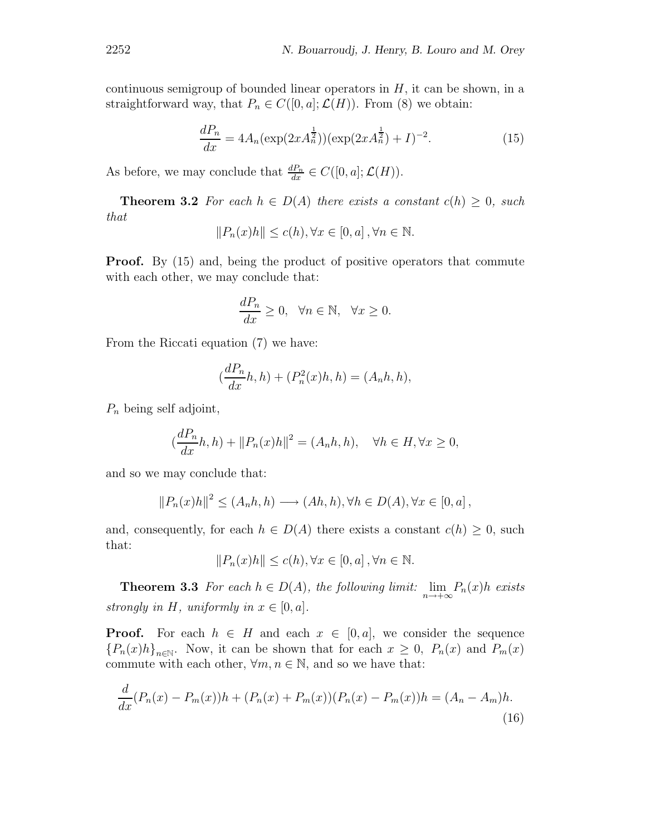continuous semigroup of bounded linear operators in  $H$ , it can be shown, in a straightforward way, that  $P_n \in C([0, a]; \mathcal{L}(H))$ . From (8) we obtain:

$$
\frac{dP_n}{dx} = 4A_n(\exp(2xA_n^{\frac{1}{2}}))(\exp(2xA_n^{\frac{1}{2}}) + I)^{-2}.
$$
 (15)

As before, we may conclude that  $\frac{dP_n}{dx} \in C([0, a]; \mathcal{L}(H)).$ 

**Theorem 3.2** For each  $h \in D(A)$  there exists a constant  $c(h) \geq 0$ , such that

$$
||P_n(x)h|| \le c(h), \forall x \in [0, a], \forall n \in \mathbb{N}.
$$

**Proof.** By (15) and, being the product of positive operators that commute with each other, we may conclude that:

$$
\frac{dP_n}{dx}\geq 0,\ \ \forall n\in\mathbb{N},\ \ \forall x\geq 0.
$$

From the Riccati equation (7) we have:

$$
(\frac{dP_n}{dx}h, h) + (P_n^2(x)h, h) = (A_n h, h),
$$

 $P_n$  being self adjoint,

$$
(\frac{dP_n}{dx}h, h) + ||P_n(x)h||^2 = (A_n h, h), \quad \forall h \in H, \forall x \ge 0,
$$

and so we may conclude that:

$$
||P_n(x)h||^2 \le (A_n h, h) \longrightarrow (Ah, h), \forall h \in D(A), \forall x \in [0, a],
$$

and, consequently, for each  $h \in D(A)$  there exists a constant  $c(h) \geq 0$ , such that:

$$
||P_n(x)h|| \le c(h), \forall x \in [0, a], \forall n \in \mathbb{N}.
$$

**Theorem 3.3** For each  $h \in D(A)$ , the following limit:  $\lim_{n \to +\infty} P_n(x)h$  exists strongly in H, uniformly in  $x \in [0, a]$ .

**Proof.** For each  $h \in H$  and each  $x \in [0, a]$ , we consider the sequence  ${P_n(x)h}_{n\in\mathbb{N}}$ . Now, it can be shown that for each  $x \geq 0$ ,  $P_n(x)$  and  $P_m(x)$ commute with each other,  $\forall m, n \in \mathbb{N}$ , and so we have that:

$$
\frac{d}{dx}(P_n(x) - P_m(x))h + (P_n(x) + P_m(x))(P_n(x) - P_m(x))h = (A_n - A_m)h.
$$
\n(16)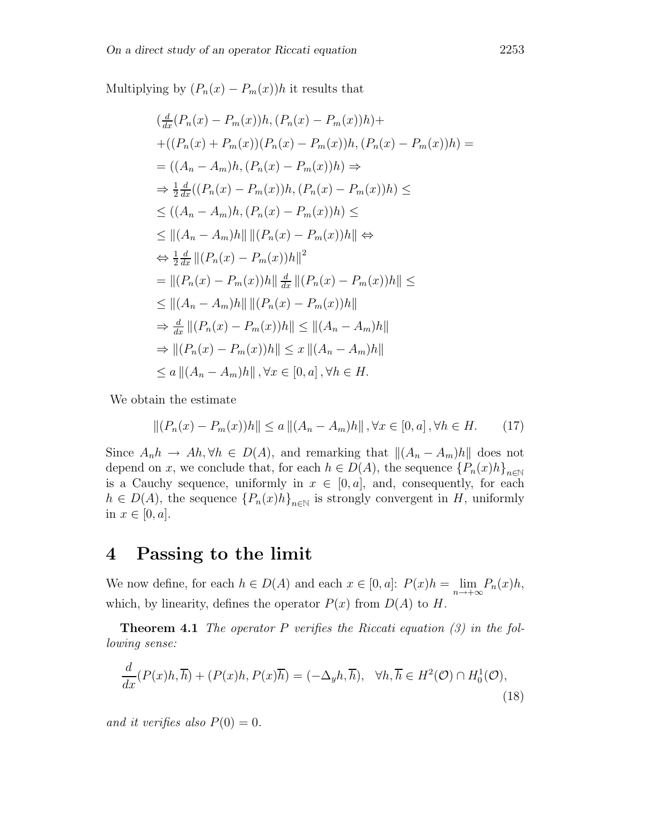Multiplying by  $(P_n(x) - P_m(x))h$  it results that

$$
\left(\frac{d}{dx}(P_n(x) - P_m(x))h, (P_n(x) - P_m(x))h\right) +\n+((P_n(x) + P_m(x))(P_n(x) - P_m(x))h, (P_n(x) - P_m(x))h) =\n= ((A_n - A_m)h, (P_n(x) - P_m(x))h) \Rightarrow\n\Rightarrow \frac{1}{2}\frac{d}{dx}((P_n(x) - P_m(x))h, (P_n(x) - P_m(x))h) \le\n\le ((A_n - A_m)h, (P_n(x) - P_m(x))h) \le\n\le ||(A_n - A_m)h|| ||(P_n(x) - P_m(x))h|| \Leftrightarrow\n\Rightarrow \frac{1}{2}\frac{d}{dx} ||(P_n(x) - P_m(x))h||^2\n= ||(P_n(x) - P_m(x))h|| \frac{d}{dx} ||(P_n(x) - P_m(x))h|| \le\n\le ||(A_n - A_m)h|| ||(P_n(x) - P_m(x))h||\n\Rightarrow \frac{d}{dx} ||(P_n(x) - P_m(x))h|| \le ||(A_n - A_m)h||\n\Rightarrow ||(P_n(x) - P_m(x))h|| \le x ||(A_n - A_m)h||\n\Rightarrow ||(P_n(x) - P_m(x))h|| \le x ||(A_n - A_m)h||\n\le a ||(A_n - A_m)h||, \forall x \in [0, a], \forall h \in H.
$$

We obtain the estimate

$$
||(P_n(x) - P_m(x))h|| \le a ||(A_n - A_m)h||, \forall x \in [0, a], \forall h \in H.
$$
 (17)

Since  $A_n h \to Ah$ ,  $\forall h \in D(A)$ , and remarking that  $\|(A_n - A_m)h\|$  does not depend on x, we conclude that, for each  $h \in D(A)$ , the sequence  ${P_n(x)h}_{n\in\mathbb{N}}$ is a Cauchy sequence, uniformly in  $x \in [0, a]$ , and, consequently, for each  $h \in D(A)$ , the sequence  ${P_n(x)h}_{n\in\mathbb{N}}$  is strongly convergent in H, uniformly in  $x \in [0, a]$ .

### **4 Passing to the limit**

We now define, for each  $h \in D(A)$  and each  $x \in [0, a]$ :  $P(x)h = \lim_{n \to +\infty} P_n(x)h$ , which, by linearity, defines the operator  $P(x)$  from  $D(A)$  to  $H$ .

**Theorem 4.1** The operator P verifies the Riccati equation  $(3)$  in the following sense:

$$
\frac{d}{dx}(P(x)h,\overline{h}) + (P(x)h,P(x)\overline{h}) = (-\Delta_y h,\overline{h}), \quad \forall h,\overline{h} \in H^2(\mathcal{O}) \cap H_0^1(\mathcal{O}),
$$
\n(18)

and it verifies also  $P(0) = 0$ .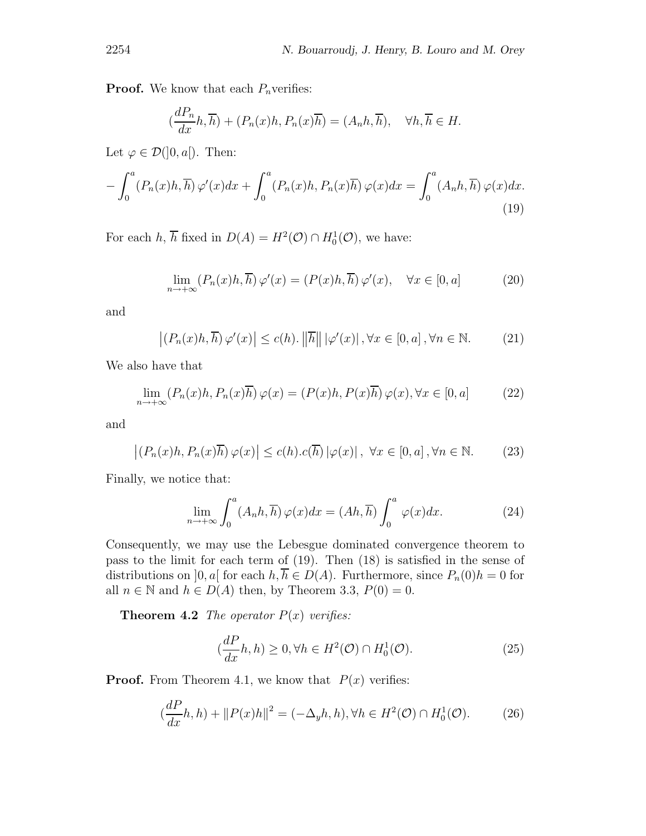**Proof.** We know that each  $P_n$  verifies:

$$
(\frac{dP_n}{dx}h, \overline{h}) + (P_n(x)h, P_n(x)\overline{h}) = (A_n h, \overline{h}), \quad \forall h, \overline{h} \in H.
$$

Let  $\varphi \in \mathcal{D}(0, a])$ . Then:

$$
-\int_0^a (P_n(x)h, \overline{h}) \,\varphi'(x)dx + \int_0^a (P_n(x)h, P_n(x)\overline{h}) \,\varphi(x)dx = \int_0^a (A_n h, \overline{h}) \,\varphi(x)dx.
$$
\n(19)

For each h,  $\overline{h}$  fixed in  $D(A) = H^2(\mathcal{O}) \cap H_0^1(\mathcal{O})$ , we have:

$$
\lim_{n \to +\infty} (P_n(x)h, \overline{h}) \varphi'(x) = (P(x)h, \overline{h}) \varphi'(x), \quad \forall x \in [0, a]
$$
 (20)

and

$$
\left| \left( P_n(x)h, \overline{h} \right) \varphi'(x) \right| \le c(h). \left\| \overline{h} \right\| \left| \varphi'(x) \right|, \forall x \in [0, a], \forall n \in \mathbb{N}. \tag{21}
$$

We also have that

$$
\lim_{n \to +\infty} (P_n(x)h, P_n(x)\overline{h})\varphi(x) = (P(x)h, P(x)\overline{h})\varphi(x), \forall x \in [0, a]
$$
 (22)

and

$$
\left| \left( P_n(x)h, P_n(x)\overline{h} \right) \varphi(x) \right| \le c(h) . c(\overline{h}) \left| \varphi(x) \right|, \ \forall x \in [0, a], \forall n \in \mathbb{N}.
$$
 (23)

Finally, we notice that:

$$
\lim_{n \to +\infty} \int_0^a (A_n h, \overline{h}) \, \varphi(x) dx = (Ah, \overline{h}) \int_0^a \, \varphi(x) dx. \tag{24}
$$

Consequently, we may use the Lebesgue dominated convergence theorem to pass to the limit for each term of (19). Then (18) is satisfied in the sense of distributions on  $]0, a[$  for each  $h, \overline{h} \in D(A)$ . Furthermore, since  $P_n(0)h = 0$  for all  $n \in \mathbb{N}$  and  $h \in D(A)$  then, by Theorem 3.3,  $P(0) = 0$ .

**Theorem 4.2** The operator  $P(x)$  verifies:

$$
(\frac{dP}{dx}h, h) \ge 0, \forall h \in H^2(\mathcal{O}) \cap H_0^1(\mathcal{O}).
$$
\n(25)

**Proof.** From Theorem 4.1, we know that  $P(x)$  verifies:

$$
(\frac{dP}{dx}h, h) + ||P(x)h||^2 = (-\Delta_y h, h), \forall h \in H^2(\mathcal{O}) \cap H_0^1(\mathcal{O}).
$$
 (26)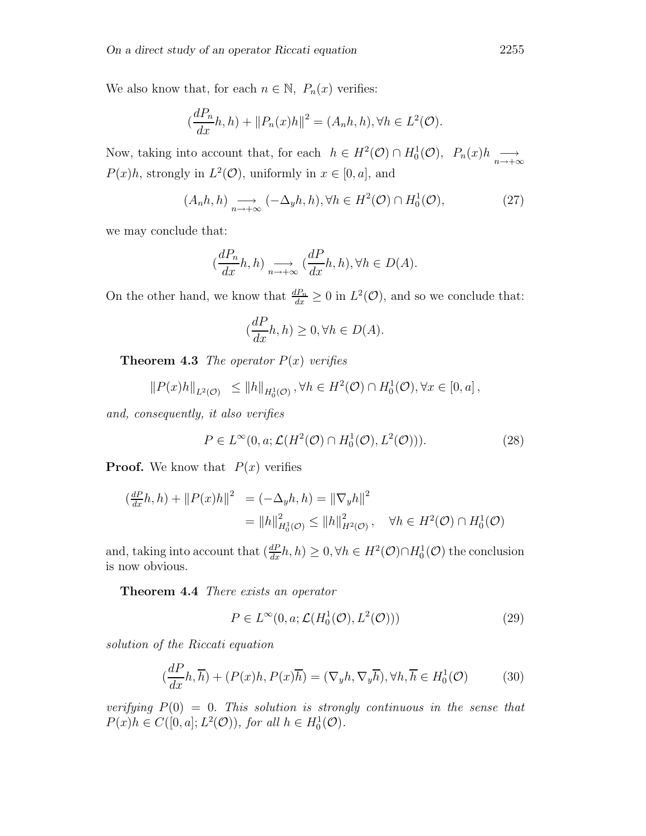We also know that, for each  $n \in \mathbb{N}$ ,  $P_n(x)$  verifies:

$$
\left(\frac{dP_n}{dx}h, h\right) + \|P_n(x)h\|^2 = (A_n h, h), \forall h \in L^2(\mathcal{O}).
$$

Now, taking into account that, for each  $h \in H^2(\mathcal{O}) \cap H_0^1(\mathcal{O}), P_n(x)h \longrightarrow_{n \to +\infty} P_n(x)$  $P(x)h$ , strongly in  $L^2(\mathcal{O})$ , uniformly in  $x \in [0, a]$ , and

$$
(A_n h, h) \underset{n \to +\infty}{\longrightarrow} (-\Delta_y h, h), \forall h \in H^2(\mathcal{O}) \cap H_0^1(\mathcal{O}),
$$
 (27)

we may conclude that:

$$
(\frac{dP_n}{dx}h, h) \underset{n \to +\infty}{\longrightarrow} (\frac{dP}{dx}h, h), \forall h \in D(A).
$$

On the other hand, we know that  $\frac{dP_n}{dx} \geq 0$  in  $L^2(\mathcal{O})$ , and so we conclude that:

$$
(\frac{dP}{dx}h,h)\geq 0, \forall h\in D(A).
$$

**Theorem 4.3** The operator  $P(x)$  verifies

$$
||P(x)h||_{L^{2}(\mathcal{O})} \leq ||h||_{H_{0}^{1}(\mathcal{O})}, \forall h \in H^{2}(\mathcal{O}) \cap H_{0}^{1}(\mathcal{O}), \forall x \in [0, a],
$$

and, consequently, it also verifies

$$
P \in L^{\infty}(0, a; \mathcal{L}(H^2(\mathcal{O}) \cap H_0^1(\mathcal{O}), L^2(\mathcal{O}))).
$$
\n(28)

**Proof.** We know that  $P(x)$  verifies

$$
\begin{aligned} \left(\frac{dP}{dx}h, h\right) + \|P(x)h\|^2 &= (-\Delta_y h, h) = \|\nabla_y h\|^2 \\ &= \|h\|_{H_0^1(\mathcal{O})}^2 \le \|h\|_{H^2(\mathcal{O})}^2, \quad \forall h \in H^2(\mathcal{O}) \cap H_0^1(\mathcal{O}) \end{aligned}
$$

and, taking into account that  $(\frac{dP}{dx}h, h) \geq 0, \forall h \in H^2(\mathcal{O}) \cap H_0^1(\mathcal{O})$  the conclusion is now obvious.

**Theorem 4.4** There exists an operator

$$
P \in L^{\infty}(0, a; \mathcal{L}(H_0^1(\mathcal{O}), L^2(\mathcal{O})))
$$
\n(29)

solution of the Riccati equation

$$
(\frac{dP}{dx}h,\overline{h}) + (P(x)h, P(x)\overline{h}) = (\nabla_y h, \nabla_y \overline{h}), \forall h, \overline{h} \in H_0^1(\mathcal{O})
$$
 (30)

verifying  $P(0) = 0$ . This solution is strongly continuous in the sense that  $P(x)h \in C([0, a]; L^2(\mathcal{O}))$ , for all  $h \in H_0^1(\mathcal{O})$ .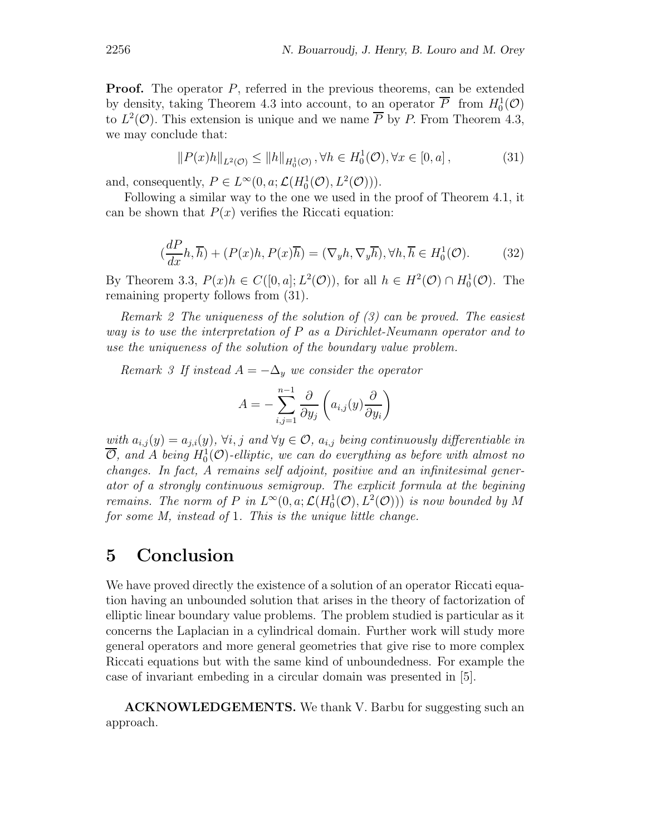**Proof.** The operator P, referred in the previous theorems, can be extended by density, taking Theorem 4.3 into account, to an operator  $\overline{P}$  from  $H_0^1(\mathcal{O})$ to  $L^2(\mathcal{O})$ . This extension is unique and we name  $\overline{P}$  by P. From Theorem 4.3, we may conclude that:

$$
||P(x)h||_{L^{2}(\mathcal{O})} \le ||h||_{H_{0}^{1}(\mathcal{O})}, \forall h \in H_{0}^{1}(\mathcal{O}), \forall x \in [0, a],
$$
\n(31)

and, consequently,  $P \in L^{\infty}(0, \alpha; \mathcal{L}(H_0^1(\mathcal{O}), L^2(\mathcal{O}))).$ 

Following a similar way to the one we used in the proof of Theorem 4.1, it can be shown that  $P(x)$  verifies the Riccati equation:

$$
(\frac{dP}{dx}h,\overline{h}) + (P(x)h,P(x)\overline{h}) = (\nabla_y h, \nabla_y \overline{h}), \forall h, \overline{h} \in H_0^1(\mathcal{O}).
$$
 (32)

By Theorem 3.3,  $P(x)h \in C([0, a]; L^2(\mathcal{O}))$ , for all  $h \in H^2(\mathcal{O}) \cap H_0^1(\mathcal{O})$ . The remaining property follows from (31).

Remark 2 The uniqueness of the solution of (3) can be proved. The easiest way is to use the interpretation of P as a Dirichlet-Neumann operator and to use the uniqueness of the solution of the boundary value problem.

Remark 3 If instead  $A = -\Delta_y$  we consider the operator

$$
A = -\sum_{i,j=1}^{n-1} \frac{\partial}{\partial y_j} \left( a_{i,j}(y) \frac{\partial}{\partial y_i} \right)
$$

with  $a_{i,j}(y) = a_{j,i}(y)$ ,  $\forall i, j$  and  $\forall y \in \mathcal{O}$ ,  $a_{i,j}$  being continuously differentiable in  $\overline{\mathcal{O}},$  and A being  $H^1_0(\mathcal{O})$ -elliptic, we can do everything as before with almost no changes. In fact, A remains self adjoint, positive and an infinitesimal generator of a strongly continuous semigroup. The explicit formula at the begining remains. The norm of P in  $L^{\infty}(0, a; \mathcal{L}(H_0^1(\mathcal{O}), L^2(\mathcal{O})))$  is now bounded by M for some M, instead of 1. This is the unique little change.

### **5 Conclusion**

We have proved directly the existence of a solution of an operator Riccati equation having an unbounded solution that arises in the theory of factorization of elliptic linear boundary value problems. The problem studied is particular as it concerns the Laplacian in a cylindrical domain. Further work will study more general operators and more general geometries that give rise to more complex Riccati equations but with the same kind of unboundedness. For example the case of invariant embeding in a circular domain was presented in [5].

**ACKNOWLEDGEMENTS.** We thank V. Barbu for suggesting such an approach.